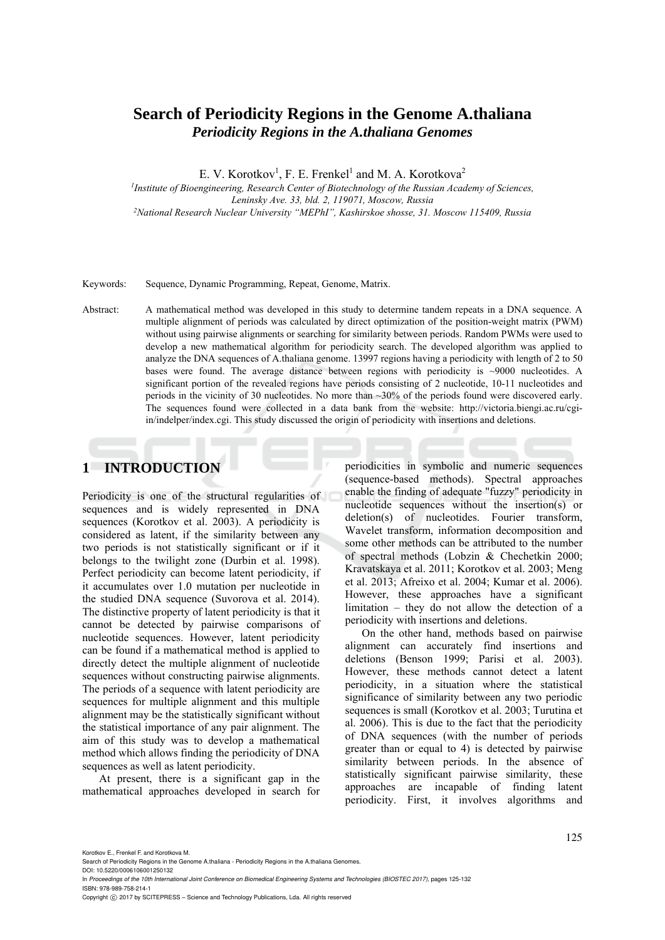# **Search of Periodicity Regions in the Genome A.thaliana**  *Periodicity Regions in the A.thaliana Genomes*

E. V. Korotkov<sup>1</sup>, F. E. Frenkel<sup>1</sup> and M. A. Korotkova<sup>2</sup>

*1Institute of Bioengineering, Research Center of Biotechnology of the Russian Academy of Sciences, Leninsky Ave. 33, bld. 2, 119071, Moscow, Russia 2National Research Nuclear University "MEPhI", Kashirskoe shosse, 31. Moscow 115409, Russia* 

Keywords: Sequence, Dynamic Programming, Repeat, Genome, Matrix.

Abstract: A mathematical method was developed in this study to determine tandem repeats in a DNA sequence. A multiple alignment of periods was calculated by direct optimization of the position-weight matrix (PWM) without using pairwise alignments or searching for similarity between periods. Random PWMs were used to develop a new mathematical algorithm for periodicity search. The developed algorithm was applied to analyze the DNA sequences of A.thaliana genome. 13997 regions having a periodicity with length of 2 to 50 bases were found. The average distance between regions with periodicity is ~9000 nucleotides. A significant portion of the revealed regions have periods consisting of 2 nucleotide, 10-11 nucleotides and periods in the vicinity of 30 nucleotides. No more than ~30% of the periods found were discovered early. The sequences found were collected in a data bank from the website: http://victoria.biengi.ac.ru/cgiin/indelper/index.cgi. This study discussed the origin of periodicity with insertions and deletions.

# **1 INTRODUCTION**

Periodicity is one of the structural regularities of sequences and is widely represented in DNA sequences (Korotkov et al. 2003). A periodicity is considered as latent, if the similarity between any two periods is not statistically significant or if it belongs to the twilight zone (Durbin et al. 1998). Perfect periodicity can become latent periodicity, if it accumulates over 1.0 mutation per nucleotide in the studied DNA sequence (Suvorova et al. 2014). The distinctive property of latent periodicity is that it cannot be detected by pairwise comparisons of nucleotide sequences. However, latent periodicity can be found if a mathematical method is applied to directly detect the multiple alignment of nucleotide sequences without constructing pairwise alignments. The periods of a sequence with latent periodicity are sequences for multiple alignment and this multiple alignment may be the statistically significant without the statistical importance of any pair alignment. The aim of this study was to develop a mathematical method which allows finding the periodicity of DNA sequences as well as latent periodicity.

At present, there is a significant gap in the mathematical approaches developed in search for periodicities in symbolic and numeric sequences (sequence-based methods). Spectral approaches enable the finding of adequate "fuzzy" periodicity in nucleotide sequences without the insertion(s) or deletion(s) of nucleotides. Fourier transform, Wavelet transform, information decomposition and some other methods can be attributed to the number of spectral methods (Lobzin & Chechetkin 2000; Kravatskaya et al. 2011; Korotkov et al. 2003; Meng et al. 2013; Afreixo et al. 2004; Kumar et al. 2006). However, these approaches have a significant limitation – they do not allow the detection of a periodicity with insertions and deletions.

On the other hand, methods based on pairwise alignment can accurately find insertions and deletions (Benson 1999; Parisi et al. 2003). However, these methods cannot detect a latent periodicity, in a situation where the statistical significance of similarity between any two periodic sequences is small (Korotkov et al. 2003; Turutina et al. 2006). This is due to the fact that the periodicity of DNA sequences (with the number of periods greater than or equal to 4) is detected by pairwise similarity between periods. In the absence of statistically significant pairwise similarity, these approaches are incapable of finding latent periodicity. First, it involves algorithms and

Search of Periodicity Regions in the Genome A.thaliana - Periodicity Regions in the A.thaliana Genomes.

DOI: 10.5220/0006106001250132 In *Proceedings of the 10th International Joint Conference on Biomedical Engineering Systems and Technologies (BIOSTEC 2017)*, pages 125-132

ISBN: 978-989-758-214-1

Copyright C 2017 by SCITEPRESS - Science and Technology Publications, Lda. All rights reserved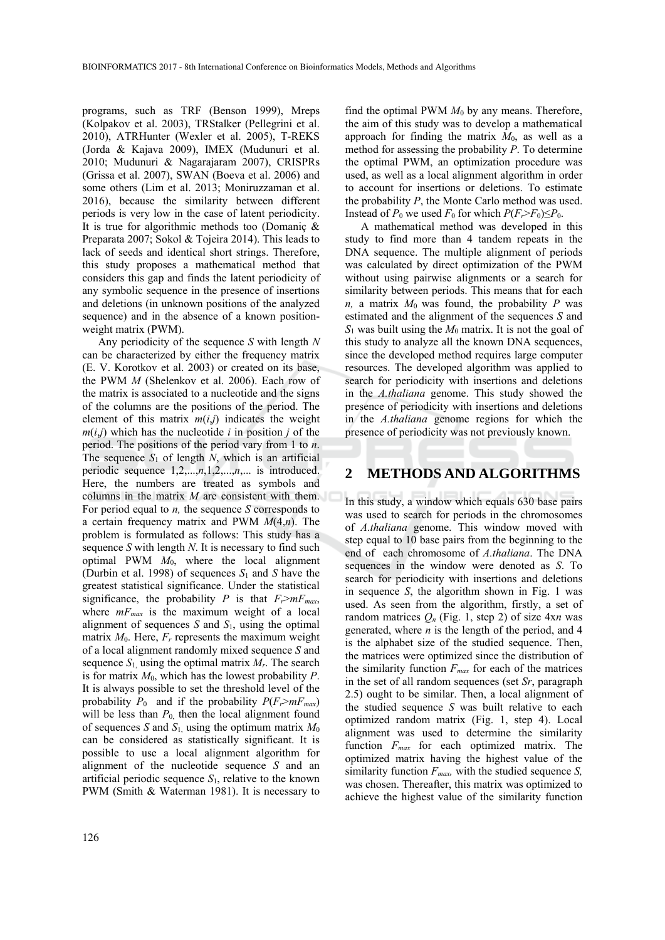programs, such as TRF (Benson 1999), Mreps (Kolpakov et al. 2003), TRStalker (Pellegrini et al. 2010), ATRHunter (Wexler et al. 2005), T-REKS (Jorda & Kajava 2009), IMEX (Mudunuri et al. 2010; Mudunuri & Nagarajaram 2007), CRISPRs (Grissa et al. 2007), SWAN (Boeva et al. 2006) and some others (Lim et al. 2013; Moniruzzaman et al. 2016), because the similarity between different periods is very low in the case of latent periodicity. It is true for algorithmic methods too (Domaniç & Preparata 2007; Sokol & Tojeira 2014). This leads to lack of seeds and identical short strings. Therefore, this study proposes a mathematical method that considers this gap and finds the latent periodicity of any symbolic sequence in the presence of insertions and deletions (in unknown positions of the analyzed sequence) and in the absence of a known positionweight matrix (PWM).

Any periodicity of the sequence *S* with length *N* can be characterized by either the frequency matrix (E. V. Korotkov et al. 2003) or created on its base, the PWM *M* (Shelenkov et al. 2006). Each row of the matrix is associated to a nucleotide and the signs of the columns are the positions of the period. The element of this matrix  $m(i,j)$  indicates the weight  $m(i,j)$  which has the nucleotide *i* in position *j* of the period. The positions of the period vary from 1 to *n*. The sequence  $S_1$  of length  $N$ , which is an artificial periodic sequence  $1, 2, \ldots, n, 1, 2, \ldots, n, \ldots$  is introduced. Here, the numbers are treated as symbols and columns in the matrix *M* are consistent with them. For period equal to *n,* the sequence *S* corresponds to a certain frequency matrix and PWM *M*(4,*n*). The problem is formulated as follows: This study has a sequence *S* with length *N*. It is necessary to find such optimal PWM *M*0, where the local alignment (Durbin et al. 1998) of sequences *S*1 and *S* have the greatest statistical significance. Under the statistical significance, the probability *P* is that  $F_r > mF_{max}$ , where  $mF_{max}$  is the maximum weight of a local alignment of sequences *S* and *S*1, using the optimal matrix  $M_0$ . Here,  $F_r$  represents the maximum weight of a local alignment randomly mixed sequence *S* and sequence  $S_1$  using the optimal matrix  $M_r$ . The search is for matrix *M*0, which has the lowest probability *P*. It is always possible to set the threshold level of the probability  $P_0$  and if the probability  $P(F_r > mF_{max})$ will be less than  $P_0$  then the local alignment found of sequences *S* and  $S_1$ , using the optimum matrix  $M_0$ can be considered as statistically significant. It is possible to use a local alignment algorithm for alignment of the nucleotide sequence *S* and an artificial periodic sequence  $S_1$ , relative to the known PWM (Smith & Waterman 1981). It is necessary to

find the optimal PWM  $M_0$  by any means. Therefore, the aim of this study was to develop a mathematical approach for finding the matrix  $M_0$ , as well as a method for assessing the probability *P*. To determine the optimal PWM, an optimization procedure was used, as well as a local alignment algorithm in order to account for insertions or deletions. To estimate the probability *P*, the Monte Carlo method was used. Instead of  $P_0$  we used  $F_0$  for which  $P(F_r > F_0) \le P_0$ .

A mathematical method was developed in this study to find more than 4 tandem repeats in the DNA sequence. The multiple alignment of periods was calculated by direct optimization of the PWM without using pairwise alignments or a search for similarity between periods. This means that for each *n,* a matrix  $M_0$  was found, the probability *P* was estimated and the alignment of the sequences *S* and *S*1 was built using the *M*0 matrix. It is not the goal of this study to analyze all the known DNA sequences, since the developed method requires large computer resources. The developed algorithm was applied to search for periodicity with insertions and deletions in the *A.thaliana* genome. This study showed the presence of periodicity with insertions and deletions in the *A.thaliana* genome regions for which the presence of periodicity was not previously known.

#### **2 METHODS AND ALGORITHMS**

In this study, a window which equals 630 base pairs was used to search for periods in the chromosomes of *A.thaliana* genome. This window moved with step equal to 10 base pairs from the beginning to the end of each chromosome of *A.thaliana*. The DNA sequences in the window were denoted as *S*. To search for periodicity with insertions and deletions in sequence *S*, the algorithm shown in Fig. 1 was used. As seen from the algorithm, firstly, a set of random matrices  $O_n$  (Fig. 1, step 2) of size  $4xn$  was generated, where *n* is the length of the period, and 4 is the alphabet size of the studied sequence. Then, the matrices were optimized since the distribution of the similarity function *Fmax* for each of the matrices in the set of all random sequences (set *Sr*, paragraph 2.5) ought to be similar. Then, a local alignment of the studied sequence *S* was built relative to each optimized random matrix (Fig. 1, step 4). Local alignment was used to determine the similarity function *Fmax* for each optimized matrix. The optimized matrix having the highest value of the similarity function *Fmax,* with the studied sequence *S,* was chosen. Thereafter, this matrix was optimized to achieve the highest value of the similarity function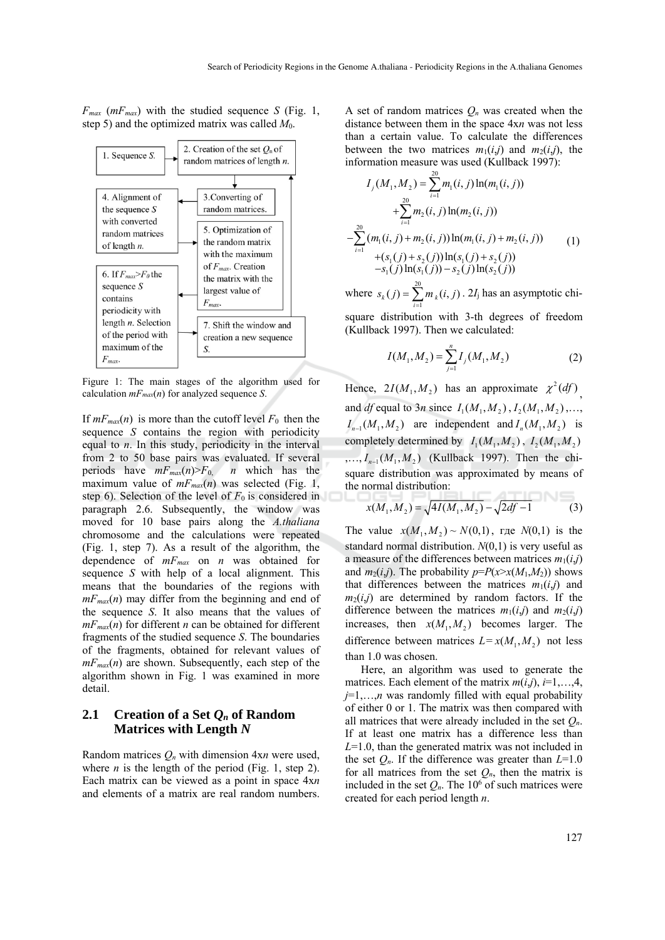$F_{max}$  ( $mF_{max}$ ) with the studied sequence *S* (Fig. 1, step 5) and the optimized matrix was called *M*0.



Figure 1: The main stages of the algorithm used for calculation *mFmax*(*n*) for analyzed sequence *S*.

If  $mF_{max}(n)$  is more than the cutoff level  $F_0$  then the sequence *S* contains the region with periodicity equal to *n*. In this study, periodicity in the interval from 2 to 50 base pairs was evaluated. If several periods have  $mF_{max}(n) > F_0$ , *n* which has the maximum value of  $mF_{max}(n)$  was selected (Fig. 1, step 6). Selection of the level of  $F_0$  is considered in paragraph 2.6. Subsequently, the window was moved for 10 base pairs along the *A.thaliana* chromosome and the calculations were repeated (Fig. 1, step 7). As a result of the algorithm, the dependence of *mFmax* on *n* was obtained for sequence *S* with help of a local alignment. This means that the boundaries of the regions with  $mF_{max}(n)$  may differ from the beginning and end of the sequence *S*. It also means that the values of  $mF_{max}(n)$  for different *n* can be obtained for different fragments of the studied sequence *S*. The boundaries of the fragments, obtained for relevant values of  $mF_{max}(n)$  are shown. Subsequently, each step of the algorithm shown in Fig. 1 was examined in more detail.

## **2.1 Creation of a Set** *Qn* **of Random Matrices with Length** *N*

Random matrices *Qn* with dimension 4x*n* were used, where  $n$  is the length of the period (Fig. 1, step 2). Each matrix can be viewed as a point in space 4x*n*  and elements of a matrix are real random numbers.

A set of random matrices  $Q_n$  was created when the distance between them in the space 4x*n* was not less than a certain value. To calculate the differences between the two matrices  $m_1(i,j)$  and  $m_2(i,j)$ , the information measure was used (Kullback 1997):

$$
I_j(M_1, M_2) = \sum_{i=1}^{20} m_1(i, j) \ln(m_1(i, j))
$$
  
+
$$
\sum_{i=1}^{20} m_2(i, j) \ln(m_2(i, j))
$$
  
-
$$
\sum_{i=1}^{20} (m_1(i, j) + m_2(i, j)) \ln(m_1(i, j) + m_2(i, j))
$$
  
+
$$
(s_1(j) + s_2(j)) \ln(s_1(j) + s_2(j))
$$
  
-
$$
s_1(j) \ln(s_1(j)) - s_2(j) \ln(s_2(j))
$$
 (1)

where  $s_k(j) = \sum_{i=1}^{20}$  $\sum_{i=1}^{k} m_{k}(i, j)$  $s_k(j) = \sum m_k(i, j)$  $=\sum_{i=1}^m m_k(i,j)$ . 2*I*<sub>j</sub> has an asymptotic chisquare distribution with 3-th degrees of freedom (Kullback 1997). Then we calculated:

$$
I(M_1, M_2) = \sum_{j=1}^{n} I_j(M_1, M_2)
$$
 (2)

Hence,  $2I(M_1, M_2)$  has an approximate  $\chi^2(df)$ and *df* equal to 3*n* since  $I_1(M_1, M_2)$ ,  $I_2(M_1, M_2)$ , ...  $I_{n-1}(M_1, M_2)$  are independent and  $I_n(M_1, M_2)$  is completely determined by  $I_1(M_1, M_2)$ ,  $I_2(M_1, M_2)$  $, ..., I_{n-1}(M_1, M_2)$  (Kullback 1997). Then the chisquare distribution was approximated by means of the normal distribution: **ATTICALCO** 

$$
x(M_1, M_2) = \sqrt{4I(M_1, M_2)} - \sqrt{2df - 1}
$$
 (3)

The value  $x(M_1, M_2) \sim N(0,1)$ , rge  $N(0,1)$  is the standard normal distribution. *N*(0,1) is very useful as a measure of the differences between matrices  $m_1(i,j)$ and  $m_2(i,j)$ . The probability  $p = P(x) \times x(M_1,M_2)$  shows that differences between the matrices  $m_1(i,j)$  and  $m_2(i,j)$  are determined by random factors. If the difference between the matrices  $m_1(i,j)$  and  $m_2(i,j)$ increases, then  $x(M_1, M_2)$  becomes larger. The difference between matrices  $L = x(M_1, M_2)$  not less than 1.0 was chosen.

Here, an algorithm was used to generate the matrices. Each element of the matrix  $m(i,j)$ ,  $i=1,\ldots,4$ ,  $j=1,\ldots,n$  was randomly filled with equal probability of either 0 or 1. The matrix was then compared with all matrices that were already included in the set *Qn*. If at least one matrix has a difference less than *L*=1.0, than the generated matrix was not included in the set  $Q_n$ . If the difference was greater than  $L=1.0$ for all matrices from the set  $Q_n$ , then the matrix is included in the set  $Q_n$ . The 10<sup>6</sup> of such matrices were created for each period length *n*.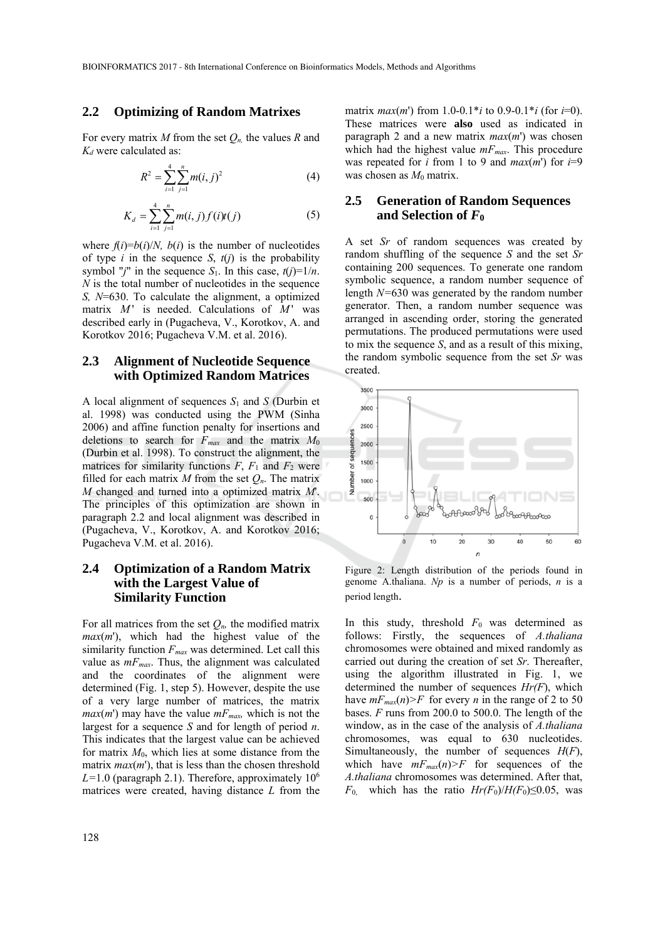#### **2.2 Optimizing of Random Matrixes**

For every matrix *M* from the set *Qn,* the values *R* and *Kd* were calculated as:

$$
R^2 = \sum_{i=1}^{4} \sum_{j=1}^{n} m(i, j)^2
$$
 (4)

$$
K_d = \sum_{i=1}^{4} \sum_{j=1}^{n} m(i,j) f(i) t(j)
$$
 (5)

where  $f(i)=b(i)/N$ ,  $b(i)$  is the number of nucleotides of type  $i$  in the sequence  $S$ ,  $t(j)$  is the probability symbol "*j*" in the sequence  $S_1$ . In this case,  $t(j)=1/n$ . *N* is the total number of nucleotides in the sequence *S, N*=630. To calculate the alignment, a optimized matrix *M* ' is needed. Calculations of *M* ' was described early in (Pugacheva, V., Korotkov, A. and Korotkov 2016; Pugacheva V.M. et al. 2016).

### **2.3 Alignment of Nucleotide Sequence with Optimized Random Matrices**

A local alignment of sequences  $S_1$  and  $S$  (Durbin et al. 1998) was conducted using the PWM (Sinha 2006) and affine function penalty for insertions and deletions to search for *Fmax* and the matrix *M*<sup>0</sup> (Durbin et al. 1998). To construct the alignment, the matrices for similarity functions  $F$ ,  $F_1$  and  $F_2$  were filled for each matrix  $M$  from the set  $Q_n$ . The matrix *M* changed and turned into a optimized matrix *M*'. The principles of this optimization are shown in paragraph 2.2 and local alignment was described in (Pugacheva, V., Korotkov, A. and Korotkov 2016; Pugacheva V.M. et al. 2016).

### **2.4 Optimization of a Random Matrix with the Largest Value of Similarity Function**

For all matrices from the set  $Q_n$ , the modified matrix *max*(*m*'), which had the highest value of the similarity function *Fmax* was determined. Let call this value as  $m_{max}$ . Thus, the alignment was calculated and the coordinates of the alignment were determined (Fig. 1, step 5). However, despite the use of a very large number of matrices, the matrix  $max(m')$  may have the value  $mF_{max}$ , which is not the largest for a sequence *S* and for length of period *n*. This indicates that the largest value can be achieved for matrix *M*0, which lies at some distance from the matrix *max*(*m*'), that is less than the chosen threshold  $L=1.0$  (paragraph 2.1). Therefore, approximately  $10<sup>6</sup>$ matrices were created, having distance *L* from the

matrix  $max(m')$  from 1.0-0.1\**i* to 0.9-0.1\**i* (for *i*=0). These matrices were **also** used as indicated in paragraph 2 and a new matrix *max*(*m*') was chosen which had the highest value  $mF_{max}$ . This procedure was repeated for *i* from 1 to 9 and  $max(m')$  for  $i=9$ was chosen as  $M_0$  matrix.

## **2.5 Generation of Random Sequences and Selection of** *F***<sup>0</sup>**

A set *Sr* of random sequences was created by random shuffling of the sequence *S* and the set *Sr* containing 200 sequences. To generate one random symbolic sequence, a random number sequence of length *N=*630 was generated by the random number generator. Then, a random number sequence was arranged in ascending order, storing the generated permutations. The produced permutations were used to mix the sequence *S*, and as a result of this mixing, the random symbolic sequence from the set *Sr* was created.



Figure 2: Length distribution of the periods found in genome A.thaliana. *Np* is a number of periods, *n* is a period length.

In this study, threshold  $F_0$  was determined as follows: Firstly, the sequences of *A.thaliana* chromosomes were obtained and mixed randomly as carried out during the creation of set *Sr*. Thereafter, using the algorithm illustrated in Fig. 1, we determined the number of sequences *Hr(F*), which have  $mF_{max}(n)$ >F for every *n* in the range of 2 to 50 bases. *F* runs from 200.0 to 500.0. The length of the window, as in the case of the analysis of *A.thaliana* chromosomes, was equal to 630 nucleotides. Simultaneously, the number of sequences *H*(*F*), which have  $mF_{max}(n)$ >F for sequences of the *A.thaliana* chromosomes was determined. After that,  $F_0$  which has the ratio  $Hr(F_0)/H(F_0) \leq 0.05$ , was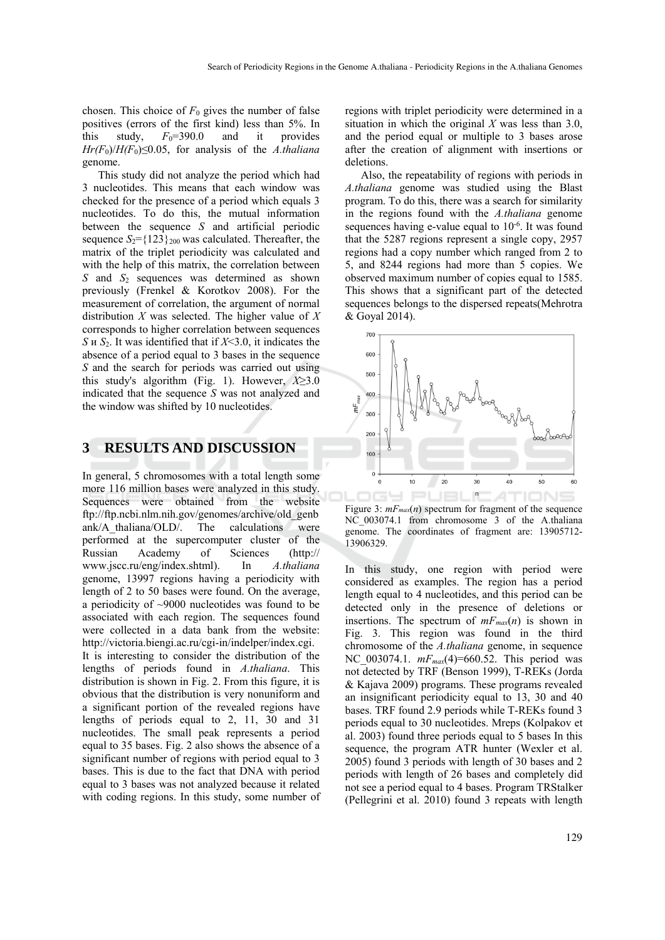chosen. This choice of  $F_0$  gives the number of false positives (errors of the first kind) less than 5%. In this study,  $F_0=390.0$  and it provides  $Hr(F_0)/H(F_0) \leq 0.05$ , for analysis of the *A.thaliana* genome.

This study did not analyze the period which had 3 nucleotides. This means that each window was checked for the presence of a period which equals 3 nucleotides. To do this, the mutual information between the sequence *S* and artificial periodic sequence  $S_2 = \{123\}$ <sub>200</sub> was calculated. Thereafter, the matrix of the triplet periodicity was calculated and with the help of this matrix, the correlation between *S* and *S*2 sequences was determined as shown previously (Frenkel & Korotkov 2008). For the measurement of correlation, the argument of normal distribution *X* was selected. The higher value of *X* corresponds to higher correlation between sequences *S* и *S*2. It was identified that if *X*<3.0, it indicates the absence of a period equal to 3 bases in the sequence *S* and the search for periods was carried out using this study's algorithm (Fig. 1). However, *X*≥3.0 indicated that the sequence *S* was not analyzed and the window was shifted by 10 nucleotides.

## **3 RESULTS AND DISCUSSION**

In general, 5 chromosomes with a total length some more 116 million bases were analyzed in this study. Sequences were obtained from the website ftp://ftp.ncbi.nlm.nih.gov/genomes/archive/old\_genb ank/A\_thaliana/OLD/. The calculations were performed at the supercomputer cluster of the Russian Academy of Sciences (http:// www.jscc.ru/eng/index.shtml). In *A.thaliana* genome, 13997 regions having a periodicity with length of 2 to 50 bases were found. On the average, a periodicity of ~9000 nucleotides was found to be associated with each region. The sequences found were collected in a data bank from the website: http://victoria.biengi.ac.ru/cgi-in/indelper/index.cgi. It is interesting to consider the distribution of the lengths of periods found in *A.thaliana*. This distribution is shown in Fig. 2. From this figure, it is obvious that the distribution is very nonuniform and a significant portion of the revealed regions have lengths of periods equal to 2, 11, 30 and 31 nucleotides. The small peak represents a period equal to 35 bases. Fig. 2 also shows the absence of a significant number of regions with period equal to 3 bases. This is due to the fact that DNA with period equal to 3 bases was not analyzed because it related with coding regions. In this study, some number of

regions with triplet periodicity were determined in a situation in which the original *X* was less than 3.0, and the period equal or multiple to 3 bases arose after the creation of alignment with insertions or deletions.

Also, the repeatability of regions with periods in *A.thaliana* genome was studied using the Blast program. To do this, there was a search for similarity in the regions found with the *A.thaliana* genome sequences having e-value equal to  $10^{-6}$ . It was found that the 5287 regions represent a single copy, 2957 regions had a copy number which ranged from 2 to 5, and 8244 regions had more than 5 copies. We observed maximum number of copies equal to 1585. This shows that a significant part of the detected sequences belongs to the dispersed repeats(Mehrotra & Goyal 2014).



Figure 3:  $mF_{max}(n)$  spectrum for fragment of the sequence NC 003074.1 from chromosome 3 of the A.thaliana genome. The coordinates of fragment are: 13905712- 13906329.

In this study, one region with period were considered as examples. The region has a period length equal to 4 nucleotides, and this period can be detected only in the presence of deletions or insertions. The spectrum of  $mF_{max}(n)$  is shown in Fig. 3. This region was found in the third chromosome of the *A.thaliana* genome, in sequence NC 003074.1.  $mF_{max}(4)$ =660.52. This period was not detected by TRF (Benson 1999), T-REKs (Jorda & Kajava 2009) programs. These programs revealed an insignificant periodicity equal to 13, 30 and 40 bases. TRF found 2.9 periods while T-REKs found 3 periods equal to 30 nucleotides. Mreps (Kolpakov et al. 2003) found three periods equal to 5 bases In this sequence, the program ATR hunter (Wexler et al. 2005) found 3 periods with length of 30 bases and 2 periods with length of 26 bases and completely did not see a period equal to 4 bases. Program TRStalker (Pellegrini et al. 2010) found 3 repeats with length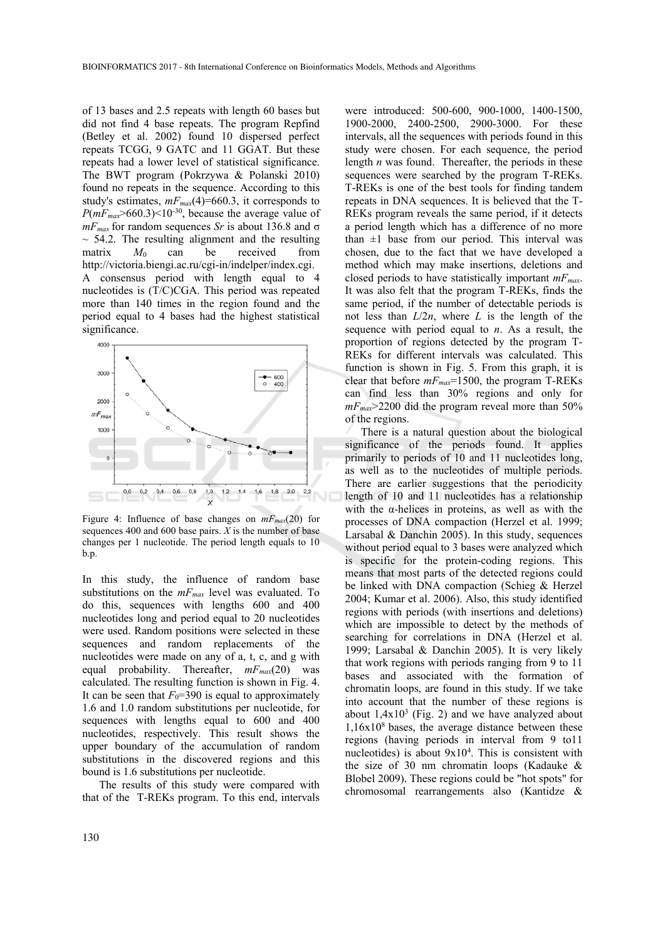of 13 bases and 2.5 repeats with length 60 bases but did not find 4 base repeats. The program Repfind (Betley et al. 2002) found 10 dispersed perfect repeats TCGG, 9 GATC and 11 GGAT. But these repeats had a lower level of statistical significance. The BWT program (Pokrzywa & Polanski 2010) found no repeats in the sequence. According to this study's estimates,  $mF_{max}(4) = 660.3$ , it corresponds to  $P(mF_{max} > 660.3) < 10^{-30}$ , because the average value of  $mF_{max}$  for random sequences *Sr* is about 136.8 and  $\sigma$  $\sim$  54.2. The resulting alignment and the resulting matrix  $M_0$  can be received from http://victoria.biengi.ac.ru/cgi-in/indelper/index.cgi. A consensus period with length equal to 4 nucleotides is (T/C)CGA. This period was repeated more than 140 times in the region found and the period equal to 4 bases had the highest statistical significance.



Figure 4: Influence of base changes on  $mF_{max}(20)$  for sequences 400 and 600 base pairs. *X* is the number of base changes per 1 nucleotide. The period length equals to 10 b.p.

In this study, the influence of random base substitutions on the  $mF_{max}$  level was evaluated. To do this, sequences with lengths 600 and 400 nucleotides long and period equal to 20 nucleotides were used. Random positions were selected in these sequences and random replacements of the nucleotides were made on any of a, t, c, and g with equal probability. Thereafter,  $mF_{max}(20)$  was calculated. The resulting function is shown in Fig. 4. It can be seen that  $F_0$ =390 is equal to approximately 1.6 and 1.0 random substitutions per nucleotide, for sequences with lengths equal to 600 and 400 nucleotides, respectively. This result shows the upper boundary of the accumulation of random substitutions in the discovered regions and this bound is 1.6 substitutions per nucleotide.

The results of this study were compared with that of the T-REKs program. To this end, intervals

were introduced: 500-600, 900-1000, 1400-1500, 1900-2000, 2400-2500, 2900-3000. For these intervals, all the sequences with periods found in this study were chosen. For each sequence, the period length *n* was found. Thereafter, the periods in these sequences were searched by the program T-REKs. T-REKs is one of the best tools for finding tandem repeats in DNA sequences. It is believed that the T-REKs program reveals the same period, if it detects a period length which has a difference of no more than  $\pm 1$  base from our period. This interval was chosen, due to the fact that we have developed a method which may make insertions, deletions and closed periods to have statistically important *mFmax*. It was also felt that the program T-REKs, finds the same period, if the number of detectable periods is not less than  $L/2n$ , where *L* is the length of the sequence with period equal to *n*. As a result, the proportion of regions detected by the program T-REKs for different intervals was calculated. This function is shown in Fig. 5. From this graph, it is clear that before *mFmax*=1500, the program T-REKs can find less than 30% regions and only for  $m_{max}$  2200 did the program reveal more than 50% of the regions.

There is a natural question about the biological significance of the periods found. It applies primarily to periods of 10 and 11 nucleotides long, as well as to the nucleotides of multiple periods. There are earlier suggestions that the periodicity length of 10 and 11 nucleotides has a relationship with the α-helices in proteins, as well as with the processes of DNA compaction (Herzel et al. 1999; Larsabal  $&$  Danchin 2005). In this study, sequences without period equal to 3 bases were analyzed which is specific for the protein-coding regions. This means that most parts of the detected regions could be linked with DNA compaction (Schieg & Herzel 2004; Kumar et al. 2006). Also, this study identified regions with periods (with insertions and deletions) which are impossible to detect by the methods of searching for correlations in DNA (Herzel et al. 1999; Larsabal & Danchin 2005). It is very likely that work regions with periods ranging from 9 to 11 bases and associated with the formation of chromatin loops, are found in this study. If we take into account that the number of these regions is about  $1,4x10^3$  (Fig. 2) and we have analyzed about  $1,16x10<sup>8</sup>$  bases, the average distance between these regions (having periods in interval from 9 to11 nucleotides) is about 9x104 . This is consistent with the size of 30 nm chromatin loops (Kadauke  $\&$ Blobel 2009). These regions could be "hot spots" for chromosomal rearrangements also (Kantidze &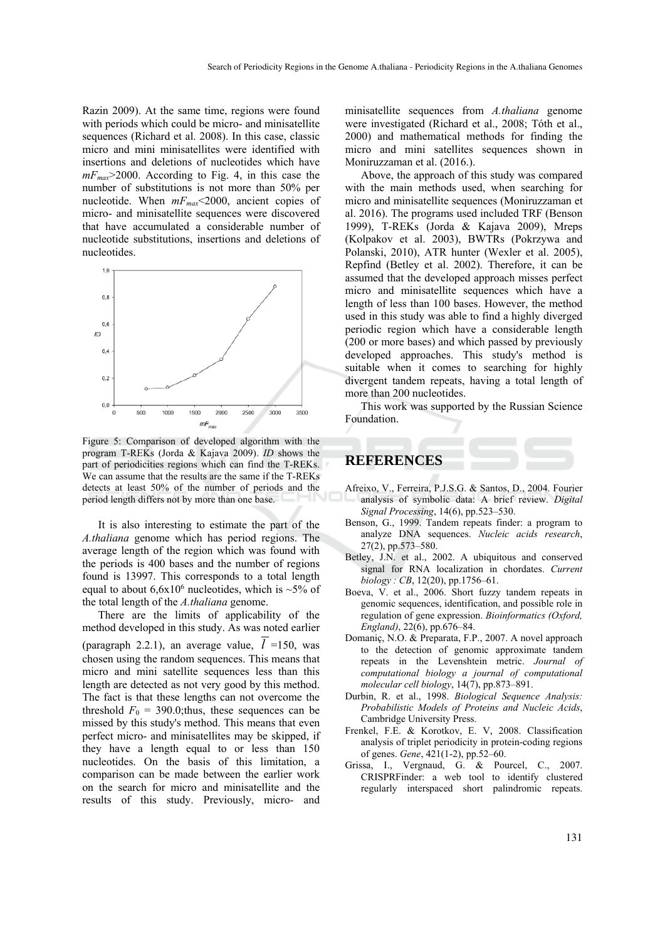Razin 2009). At the same time, regions were found with periods which could be micro- and minisatellite sequences (Richard et al. 2008). In this case, classic micro and mini minisatellites were identified with insertions and deletions of nucleotides which have *mFmax*>2000. According to Fig. 4, in this case the number of substitutions is not more than 50% per nucleotide. When *mFmax*<2000, ancient copies of micro- and minisatellite sequences were discovered that have accumulated a considerable number of nucleotide substitutions, insertions and deletions of nucleotides.



Figure 5: Comparison of developed algorithm with the program T-REKs (Jorda & Kajava 2009). *ID* shows the part of periodicities regions which can find the T-REKs. We can assume that the results are the same if the T-REKs detects at least 50% of the number of periods and the period length differs not by more than one base.

It is also interesting to estimate the part of the *A.thaliana* genome which has period regions. The average length of the region which was found with the periods is 400 bases and the number of regions found is 13997. This corresponds to a total length equal to about  $6,6x10^6$  nucleotides, which is  $\sim$ 5% of the total length of the *A.thaliana* genome.

There are the limits of applicability of the method developed in this study. As was noted earlier

(paragraph 2.2.1), an average value,  $\overline{l}$  =150, was chosen using the random sequences. This means that micro and mini satellite sequences less than this length are detected as not very good by this method. The fact is that these lengths can not overcome the threshold  $F_0 = 390.0$ ; thus, these sequences can be missed by this study's method. This means that even perfect micro- and minisatellites may be skipped, if they have a length equal to or less than 150 nucleotides. On the basis of this limitation, a comparison can be made between the earlier work on the search for micro and minisatellite and the results of this study. Previously, micro- and

minisatellite sequences from *A.thaliana* genome were investigated (Richard et al., 2008; Tóth et al., 2000) and mathematical methods for finding the micro and mini satellites sequences shown in Moniruzzaman et al. (2016.).

Above, the approach of this study was compared with the main methods used, when searching for micro and minisatellite sequences (Moniruzzaman et al. 2016). The programs used included TRF (Benson 1999), T-REKs (Jorda & Kajava 2009), Mreps (Kolpakov et al. 2003), BWTRs (Pokrzywa and Polanski, 2010), ATR hunter (Wexler et al. 2005), Repfind (Betley et al. 2002). Therefore, it can be assumed that the developed approach misses perfect micro and minisatellite sequences which have a length of less than 100 bases. However, the method used in this study was able to find a highly diverged periodic region which have a considerable length (200 or more bases) and which passed by previously developed approaches. This study's method is suitable when it comes to searching for highly divergent tandem repeats, having a total length of more than 200 nucleotides.

This work was supported by the Russian Science Foundation.

## **REFERENCES**

- Afreixo, V., Ferreira, P.J.S.G. & Santos, D., 2004. Fourier analysis of symbolic data: A brief review. *Digital Signal Processing*, 14(6), pp.523–530.
- Benson, G., 1999. Tandem repeats finder: a program to analyze DNA sequences. *Nucleic acids research*, 27(2), pp.573–580.
- Betley, J.N. et al., 2002. A ubiquitous and conserved signal for RNA localization in chordates. *Current biology : CB*, 12(20), pp.1756–61.
- Boeva, V. et al., 2006. Short fuzzy tandem repeats in genomic sequences, identification, and possible role in regulation of gene expression. *Bioinformatics (Oxford, England)*, 22(6), pp.676–84.
- Domaniç, N.O. & Preparata, F.P., 2007. A novel approach to the detection of genomic approximate tandem repeats in the Levenshtein metric. *Journal of computational biology a journal of computational molecular cell biology*, 14(7), pp.873–891.
- Durbin, R. et al., 1998. *Biological Sequence Analysis: Probabilistic Models of Proteins and Nucleic Acids*, Cambridge University Press.
- Frenkel, F.E. & Korotkov, E. V, 2008. Classification analysis of triplet periodicity in protein-coding regions of genes. *Gene*, 421(1-2), pp.52–60.
- Grissa, I., Vergnaud, G. & Pourcel, C., 2007. CRISPRFinder: a web tool to identify clustered regularly interspaced short palindromic repeats.